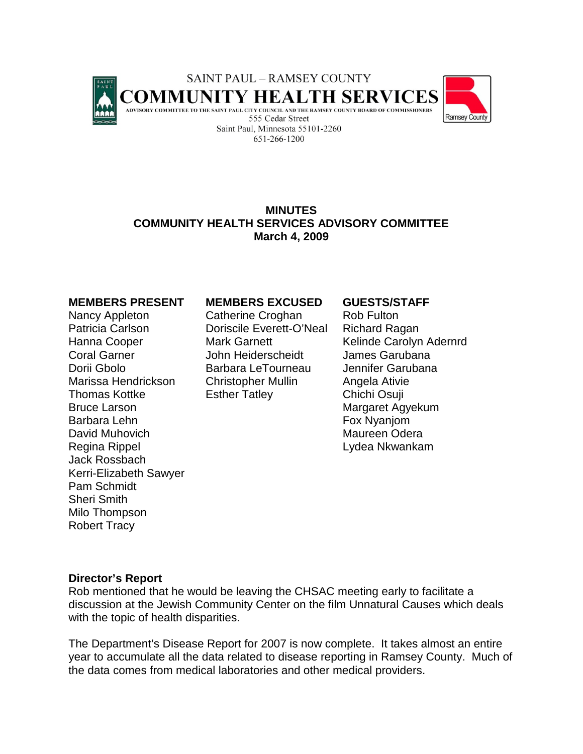

# **MINUTES COMMUNITY HEALTH SERVICES ADVISORY COMMITTEE March 4, 2009**

### **MEMBERS PRESENT MEMBERS EXCUSED GUESTS/STAFF**

Bruce Larson **Margaret Agyekum** Barbara Lehn Fox Nyanjom David Muhovich **Maureen** Odera Regina Rippel **Exercise State According Contract Contract Contract Contract Contract Contract Contract Contract Contract Contract Contract Contract Contract Contract Contract Contract Contract Contract Contract Contract Co** Jack Rossbach Kerri-Elizabeth Sawyer Pam Schmidt Sheri Smith Milo Thompson Robert Tracy

Nancy Appleton Catherine Croghan Rob Fulton Patricia Carlson Doriscile Everett-O'Neal Richard Ragan Coral Garner John Heiderscheidt James Garubana Dorii Gbolo Barbara LeTourneau Jennifer Garubana Marissa Hendrickson Christopher Mullin Angela Ativie Thomas Kottke **Esther Tatley** Chichi Osuji

Hanna Cooper **Mark Garnett** Kelinde Carolyn Adernrd

### **Director's Report**

Rob mentioned that he would be leaving the CHSAC meeting early to facilitate a discussion at the Jewish Community Center on the film Unnatural Causes which deals with the topic of health disparities.

The Department's Disease Report for 2007 is now complete. It takes almost an entire year to accumulate all the data related to disease reporting in Ramsey County. Much of the data comes from medical laboratories and other medical providers.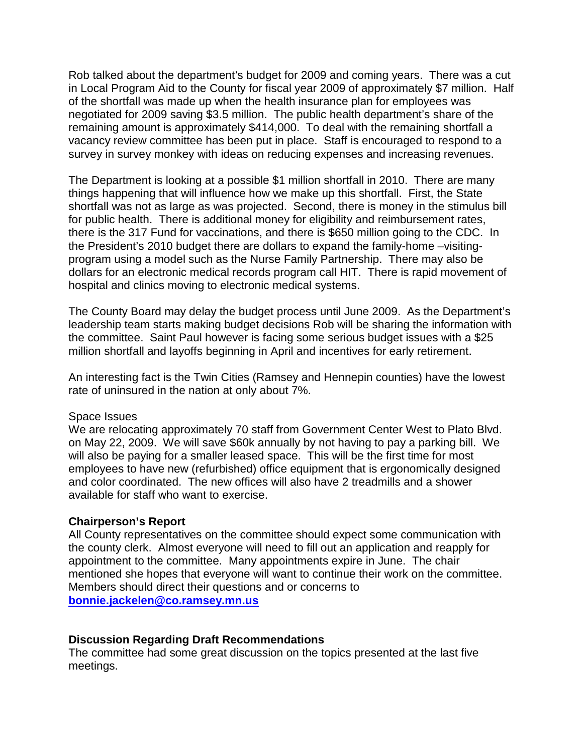Rob talked about the department's budget for 2009 and coming years. There was a cut in Local Program Aid to the County for fiscal year 2009 of approximately \$7 million. Half of the shortfall was made up when the health insurance plan for employees was negotiated for 2009 saving \$3.5 million. The public health department's share of the remaining amount is approximately \$414,000. To deal with the remaining shortfall a vacancy review committee has been put in place. Staff is encouraged to respond to a survey in survey monkey with ideas on reducing expenses and increasing revenues.

The Department is looking at a possible \$1 million shortfall in 2010. There are many things happening that will influence how we make up this shortfall. First, the State shortfall was not as large as was projected. Second, there is money in the stimulus bill for public health. There is additional money for eligibility and reimbursement rates, there is the 317 Fund for vaccinations, and there is \$650 million going to the CDC. In the President's 2010 budget there are dollars to expand the family-home –visitingprogram using a model such as the Nurse Family Partnership. There may also be dollars for an electronic medical records program call HIT. There is rapid movement of hospital and clinics moving to electronic medical systems.

The County Board may delay the budget process until June 2009. As the Department's leadership team starts making budget decisions Rob will be sharing the information with the committee. Saint Paul however is facing some serious budget issues with a \$25 million shortfall and layoffs beginning in April and incentives for early retirement.

An interesting fact is the Twin Cities (Ramsey and Hennepin counties) have the lowest rate of uninsured in the nation at only about 7%.

# Space Issues

We are relocating approximately 70 staff from Government Center West to Plato Blvd. on May 22, 2009. We will save \$60k annually by not having to pay a parking bill. We will also be paying for a smaller leased space. This will be the first time for most employees to have new (refurbished) office equipment that is ergonomically designed and color coordinated. The new offices will also have 2 treadmills and a shower available for staff who want to exercise.

# **Chairperson's Report**

All County representatives on the committee should expect some communication with the county clerk. Almost everyone will need to fill out an application and reapply for appointment to the committee. Many appointments expire in June. The chair mentioned she hopes that everyone will want to continue their work on the committee. Members should direct their questions and or concerns to **[bonnie.jackelen@co.ramsey.mn.us](mailto:bonnie.jackelen@co.ramsey.mn.us)**

# **Discussion Regarding Draft Recommendations**

The committee had some great discussion on the topics presented at the last five meetings.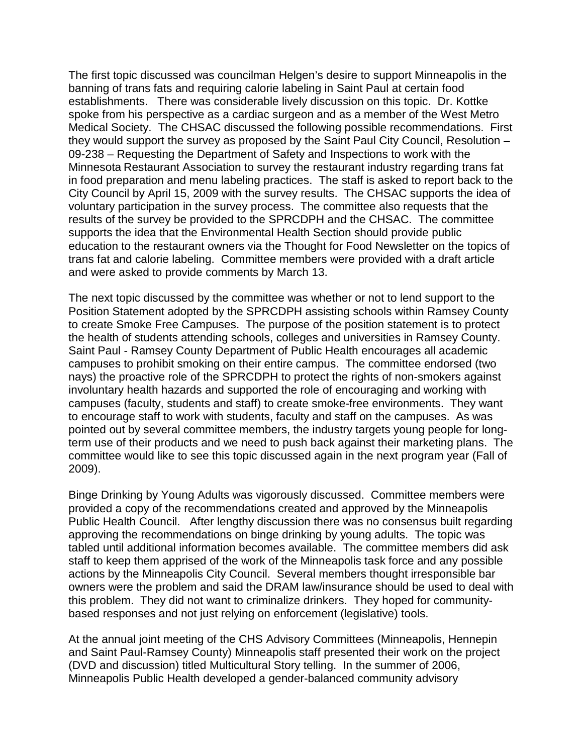The first topic discussed was councilman Helgen's desire to support Minneapolis in the banning of trans fats and requiring calorie labeling in Saint Paul at certain food establishments. There was considerable lively discussion on this topic. Dr. Kottke spoke from his perspective as a cardiac surgeon and as a member of the West Metro Medical Society. The CHSAC discussed the following possible recommendations. First they would support the survey as proposed by the Saint Paul City Council, Resolution – 09-238 – Requesting the Department of Safety and Inspections to work with the Minnesota Restaurant Association to survey the restaurant industry regarding trans fat in food preparation and menu labeling practices. The staff is asked to report back to the City Council by April 15, 2009 with the survey results. The CHSAC supports the idea of voluntary participation in the survey process. The committee also requests that the results of the survey be provided to the SPRCDPH and the CHSAC. The committee supports the idea that the Environmental Health Section should provide public education to the restaurant owners via the Thought for Food Newsletter on the topics of trans fat and calorie labeling. Committee members were provided with a draft article and were asked to provide comments by March 13.

The next topic discussed by the committee was whether or not to lend support to the Position Statement adopted by the SPRCDPH assisting schools within Ramsey County to create Smoke Free Campuses. The purpose of the position statement is to protect the health of students attending schools, colleges and universities in Ramsey County. Saint Paul - Ramsey County Department of Public Health encourages all academic campuses to prohibit smoking on their entire campus. The committee endorsed (two nays) the proactive role of the SPRCDPH to protect the rights of non-smokers against involuntary health hazards and supported the role of encouraging and working with campuses (faculty, students and staff) to create smoke-free environments. They want to encourage staff to work with students, faculty and staff on the campuses. As was pointed out by several committee members, the industry targets young people for longterm use of their products and we need to push back against their marketing plans. The committee would like to see this topic discussed again in the next program year (Fall of 2009).

Binge Drinking by Young Adults was vigorously discussed. Committee members were provided a copy of the recommendations created and approved by the Minneapolis Public Health Council. After lengthy discussion there was no consensus built regarding approving the recommendations on binge drinking by young adults. The topic was tabled until additional information becomes available. The committee members did ask staff to keep them apprised of the work of the Minneapolis task force and any possible actions by the Minneapolis City Council. Several members thought irresponsible bar owners were the problem and said the DRAM law/insurance should be used to deal with this problem. They did not want to criminalize drinkers. They hoped for communitybased responses and not just relying on enforcement (legislative) tools.

At the annual joint meeting of the CHS Advisory Committees (Minneapolis, Hennepin and Saint Paul-Ramsey County) Minneapolis staff presented their work on the project (DVD and discussion) titled Multicultural Story telling. In the summer of 2006, Minneapolis Public Health developed a gender-balanced community advisory